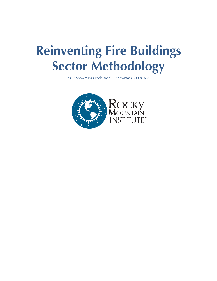# **Reinventing Fire Buildings Sector Methodology**

2317 Snowmass Creek Road | Snowmass, CO 81654

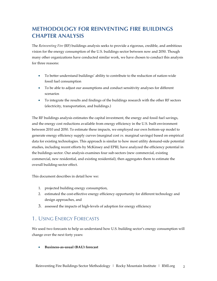## **METHODOLOGY FOR REINVENTING FIRE BUILDINGS CHAPTER ANALYSIS**

The *Reinventing Fire* (RF) buildings analysis seeks to provide a rigorous, credible, and ambitious vision for the energy consumption of the U.S. buildings sector between now and 2050. Though many other organizations have conducted similar work, we have chosen to conduct this analysis for three reasons:

- To better understand buildings' ability to contribute to the reduction of nation-wide fossil fuel consumption
- To be able to adjust our assumptions and conduct sensitivity analyses for different scenarios
- To integrate the results and findings of the buildings research with the other RF sectors (electricity, transportation, and buildings.)

The RF buildings analysis estimates the capital investment, the energy and fossil fuel savings, and the energy cost reductions available from energy efficiency in the U.S. built environment between 2010 and 2050. To estimate these impacts, we employed our own bottom-up model to generate energy efficiency supply curves (marginal cost *vs.* marginal savings) based on empirical data for existing technologies. This approach is similar to how most utility demand-side potential studies, including recent efforts by McKinsey and EPRI, have analyzed the efficiency potential in the buildings sector. Our analysis examines four sub-sectors (new commercial, existing commercial, new residential, and existing residential), then aggregates them to estimate the overall building-sector effect.

This document describes in detail how we:

- 1. projected building energy consumption,
- 2. estimated the cost-effective energy efficiency opportunity for different technology and design approaches, and
- 3. assessed the impacts of high-levels of adoption for energy efficiency

### 1. USING ENERGY FORECASTS

We used two forecasts to help us understand how U.S. building sector's energy consumption will change over the next forty years:

• **Business-as-usual (BAU) forecast**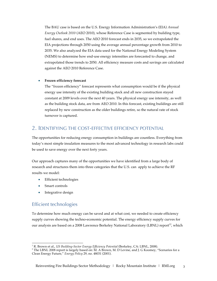The BAU case is based on the U.S. Energy Information Administration's (EIA) *Annual Energy Outlook 2010* (AEO 2010), whose Reference Case is segmented by building type, fuel shares, and end uses. The AEO 2010 forecast ends in 2035, so we extrapolated the EIA projections through 2050 using the average annual percentage growth from 2010 to 2035. We also analyzed the EIA data used for the National Energy Modeling System (NEMS) to determine how end-use energy intensities are forecasted to change, and extrapolated those trends to 2050. All efficiency measure costs and savings are calculated against the AEO 2010 Reference Case.

#### • **Frozen efficiency forecast**

The "frozen efficiency" forecast represents what consumption would be if the physical energy use intensity of the existing building stock and all new construction stayed constant at 2009 levels over the next 40 years. The physical energy use intensity, as well as the building stock data, are from AEO 2010. In this forecast, existing buildings are still replaced by new construction as the older buildings retire, so the natural rate of stock turnover is captured.

#### 2. IDENTIFYING THE COST-EFFECTIVE EFFICIENCY POTENTIAL

The opportunities for reducing energy consumption in buildings are countless. Everything from today's most simple insulation measures to the most advanced technology in research labs could be used to save energy over the next forty years.

Our approach captures many of the opportunities we have identified from a large body of research and structures them into three categories that the U.S. can apply to achieve the RF results we model:

- Efficient technologies
- Smart controls
- Integrative design

#### Efficient technologies

To determine how much energy can be saved and at what cost, we needed to create efficiency supply curves showing the techno-economic potential. The energy efficiency supply curves for our analysis are based on a 2008 Lawrence Berkeley National Laboratory (LBNL) report<sup>12</sup>, which

<sup>!!!!!!!!!!!!!!!!!!!!!!!!!!!!!!!!!!!!!!!!!!!!!!!!!!!!!!!</sup> <sup>1</sup> R. Brown et al., *US Building-Sector Energy Efficiency Potential* (Berkeley, CA: LBNL, 2008).

<sup>&</sup>lt;sup>2</sup> The LBNL 2008 report is largely based on: M. A Brown, M. D Levine, and J. G Koomey, "Scenarios for a Clean Energy Future," *Energy Policy* 29, no. 48031 (2001).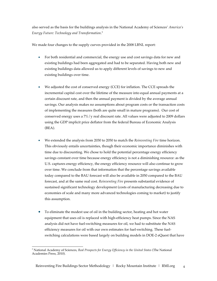also served as the basis for the buildings analysis in the National Academy of Sciences' *America's Energy Future: Technology and Transformation*. 3

We made four changes to the supply curves provided in the 2008 LBNL report:

- For both residential and commercial, the energy use and cost savings data for new and existing buildings had been aggregated and had to be separated. Having both new and existing buildings data allowed us to apply different levels of savings to new and existing buildings over time.
- We adjusted the cost of conserved energy (CCE) for inflation. The CCE spreads the incremental capital cost over the lifetime of the measure into equal annual payments at a certain discount rate, and then the annual payment is divided by the average annual savings. Our analysis makes no assumptions about program costs or the transaction costs of implementing the measures (both are quite small in mature programs). Our cost of conserved energy uses a  $7\%/y$  real discount rate. All values were adjusted to 2009 dollars using the GDP implicit price deflator from the federal Bureau of Economic Analysis (BEA).
- We extended the analysis from 2030 to 2050 to match the *Reinventing Fire* time horizon. This obviously entails uncertainties, though their economic importance diminishes with time due to discounting. We chose to hold the potential percentage energy efficiency savings constant over time because energy efficiency is not a diminishing resource: as the U.S. captures energy efficiency, the energy efficiency resource will also continue to grow over time. We conclude from that information that the percentage savings available today compared to the BAU forecast will also be available in 2050 compared to the BAU forecast, and at the same real cost. *Reinventing Fire* presents substantial evidence of sustained significant technology development (costs of manufacturing decreasing due to economies of scale and many more advanced technologies coming to market) to justify this assumption.
- To eliminate the modest use of oil in the building sector, heating and hot water equipment that uses oil is replaced with high-efficiency heat pumps. Since the NAS analysis did not have fuel-switching measures for oil, we had to substitute the NAS efficiency measures for oil with our own estimates for fuel-switching. These fuelswitching calculations were based largely on building models in DOE-2 eQuest that have

<sup>!!!!!!!!!!!!!!!!!!!!!!!!!!!!!!!!!!!!!!!!!!!!!!!!!!!!!!!</sup> <sup>3</sup> National Academy of Sciences, *Real Prospects for Energy Efficiency in the United States* (The National Academies Press, 2010).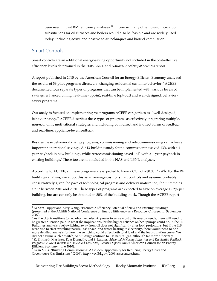been used in past RMI efficiency analyses.<sup>45</sup> Of course, many other low- or no-carbon substitutions for oil furnaces and boilers would also be feasible and are widely used today, including active and passive solar techniques and biofuel combustion.

#### Smart Controls

Smart controls are an additional energy-saving opportunity not included in the cost-effective efficiency levels determined in the 2008 LBNL and *National Academy of Sciences* report.

A report published in 2010 by the American Council for an Energy-Efficient Economy analyzed the results of 36 pilot programs directed at changing residential customer behavior. <sup>6</sup> ACEEE documented four separate types of programs that can be implemented with various levels of savings: enhanced billing, real-time (opt-in), real-time (opt-out) and well-designed, behaviorsavvy programs.

Our analysis focused on implementing the programs ACEEE categorizes as "well-designed, behavior-savvy." ACEEE describes these types of programs as effectively integrating multiple, non-economic motivational strategies and including both direct and indirect forms of feedback and real-time, appliance-level feedback.

Besides these behavioral change programs, commissioning and retrocommissioning can achieve important operational savings. A 643-building study found commissioning saved 13% with a 4 year payback in new buildings, while retrocommissioning saved 16% with a 1-year payback in existing buildings.<sup>7</sup> These too are not included in the NAS and LBNL analyses.

According to ACEEE, all these programs are expected to have a CCE of ~\$0.035/kWh. For the RF buildings analysis, we adopt this as an average cost for smart controls and assume, probably conservatively given the pace of technological progress and delivery maturation, that it remains static between 2010 and 2050. These types of programs are expected to save on average 12.2% per building, but are can only be obtained in 80% of the building stock. Though the ACEEE report

<sup>!!!!!!!!!!!!!!!!!!!!!!!!!!!!!!!!!!!!!!!!!!!!!!!!!!!!!!!</sup> <sup>4</sup> Kendra Tupper and Kitty Wang, "Economic Efficiency Potential of New and Existing Buildings" (presented at the ACEEE National Conference on Energy Efficiency as a Resource, Chicago, IL, September 2009).

<sup>&</sup>lt;sup>5</sup> As the U.S. transitions to decarbonized electric power to serve most of its energy needs, there will need to be greater attention paid to what the implications for this higher reliance on heat pumps could be. In the RF Buildings analysis, fuel-switching away from oil does not significantly alter load projections, but if the U.S. were also to start switching natural-gas space- and water-heating to electricity, there would need to be a more detailed analysis for how the switching could affect both total load and the load-duration curve. We did not assume such a switch, so buildings continue to use natural gas, although far more efficiently. <sup>6</sup> K. Ehrhardt-Martinez, K. A Donnelly, and S. Laitner, *Advanced Metering Initiatives and Residential Feedback Programs: A Meta-Review for Household Electricity-Saving Opportunities* (American Council for an Energy-Efficient Economy, June 2010).

 $<sup>7</sup>$  Evan Mills, "Building Commissioning: A Golden Opportunity for Reducing Energy Costs and</sup> Greenhouse-Gas Emissions" (2009), http://cx.lbl.gov/2009-assessment.html.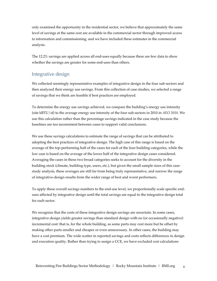only examined the opportunity in the residential sector, we believe that approximately the same level of savings at the same cost are available in the commercial sector through improved access to information and commissioning, and we have included these estimates in the commercial analysis.

The 12.2% savings are applied across all end-uses equally because there are few data to show whether the savings are greater for some end-uses than others.

#### Integrative design

We collected seemingly representative examples of integrative design in the four sub-sectors and then analyzed their energy use savings. From this collection of case studies, we selected a range of savings that we think are feasible if best practices are employed.

To determine the energy use savings achieved, we compare the building's energy use intensity (site kBTU/sf) to the average energy use intensity of the four sub-sectors in 2010 in *AEO 2010*. We use this calculation rather than the percentage savings indicated in the case study because the baselines are too inconsistent between cases to support valid conclusions.

We use these savings calculations to estimate the range of savings that can be attributed to adopting the best practices of integrative design. The high case of this range is based on the average of the top-performing half of the cases for each of the four building categories, while the low case is based on the average of the lower half of the integrative design cases considered. Averaging the cases in these two broad categories seeks to account for the diversity in the building stock (climate, building type, users, etc.), but given the small sample sizes of this casestudy analysis, these averages are still far from being truly representative, and narrow the range of integrative-design results from the wider range of best and worst performers.

To apply these overall savings numbers to the end-use level, we proportionally scale specific enduses affected by integrative design until the total savings are equal to the integrative design total for each sector.

We recognize that the costs of these integrative design savings are uncertain. In some cases, integrative design yields greater savings than standard design with no (or occasionally negative) incremental cost: that is, for the whole building, as some parts may cost more but be offset by making other parts smaller and cheaper or even unnecessary. In other cases, the building may have a cost premium. The wide scatter in reported savings and costs reflects differences in design and execution quality. Rather than trying to assign a CCE, we have excluded cost calculations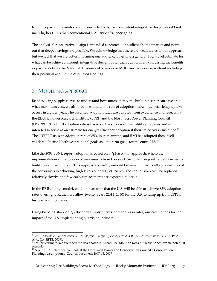from this part of the analysis, and concluded only that competent integrative design should not incur higher CCEs than conventional NAS-style efficiency gains.

The analysis for integrative design is intended to stretch our audience's imagination and point out that deeper savings are possible. We acknowledge that there are weaknesses to our approach, but we feel that we are better informing our audience by giving a general, high-level estimate for what can be achieved through integrative design rather than qualitatively discussing the benefits as past reports, as the National Academy of Sciences or McKinsey have done, without including their potential at all in the calculated findings.

### 3. MODELING APPROACH

Besides using supply curves to understand how much energy the building sector can save at what maximum cost, we also had to estimate the rate of adoption—how much efficiency uptake occurs in a given year. The assumed adoption rates are adapted from experience and research at the Electric Power Research Institute (EPRI) and the Northwest Power Planning Council (NWPPC). The EPRI adoption rate is based on the success of past utility programs and is intended to serve as an estimate for energy efficiency adoption if their trajectory is sustained. $^{89}$ The NWPPC uses an adoption rate of 85% in its planning, and RMI has adopted those wellvalidated Pacific Northwest regional goals as long-term goals for the entire U.S.  $^{10}$ 

Like the 2008 LBNL report, adoption is based on a "phased-in" approach, where the implementation and adoption of measures is based on stock turnover using retirement curves for buildings and equipment. This approach is well grounded because it gives us all a greater idea of the constraints to achieving high levels of energy efficiency: the capital stock will be replaced relatively slowly, and few early replacements are expected to occur.

In the RF Buildings model, we do not assume that the U.S. will be able to achieve 85% adoption rates overnight. Rather, we allow twenty years (2011–2030) for the U.S. to ramp up from EPRI's historic adoption rates.

Using building stock data, efficiency supply curves, and adoption rates, our calculations for the impact of the U.S. implementing our vision include:

<sup>!!!!!!!!!!!!!!!!!!!!!!!!!!!!!!!!!!!!!!!!!!!!!!!!!!!!!!!</sup> <sup>8</sup> EPRI. *Assessment of Achievable Potential from Energy Efficiency Demand Response Programs in the U.S* (Palo Alto, CA: EPRI, 2009).

<sup>9</sup> For this estimate, we averaged the designated 2010 end-use adoption rates of "realistic achievable potential" scenario.

<sup>&</sup>lt;sup>10</sup> NWPPC. A Retrospective Look at the Northwest Power and Conservation Council's Conservation Planning Assumptions. Council document 2007-13, 2007